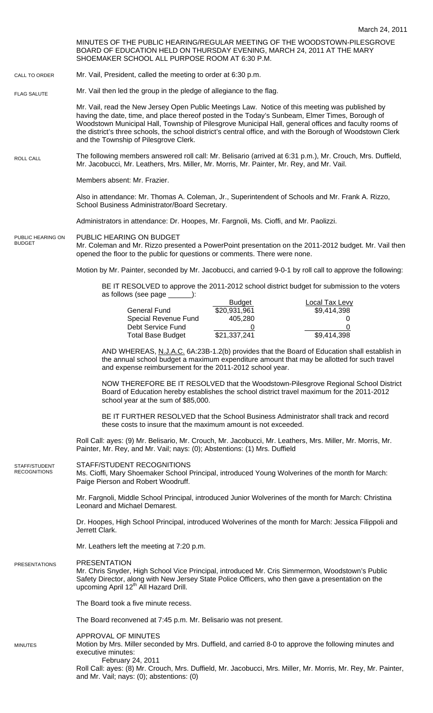MINUTES OF THE PUBLIC HEARING/REGULAR MEETING OF THE WOODSTOWN-PILESGROVE BOARD OF EDUCATION HELD ON THURSDAY EVENING, MARCH 24, 2011 AT THE MARY SHOEMAKER SCHOOL ALL PURPOSE ROOM AT 6:30 P.M.

Mr. Vail, President, called the meeting to order at 6:30 p.m. CALL TO ORDER

Mr. Vail then led the group in the pledge of allegiance to the flag. FLAG SALUTE

> Mr. Vail, read the New Jersey Open Public Meetings Law. Notice of this meeting was published by having the date, time, and place thereof posted in the Today's Sunbeam, Elmer Times, Borough of Woodstown Municipal Hall, Township of Pilesgrove Municipal Hall, general offices and faculty rooms of the district's three schools, the school district's central office, and with the Borough of Woodstown Clerk and the Township of Pilesgrove Clerk.

The following members answered roll call: Mr. Belisario (arrived at 6:31 p.m.), Mr. Crouch, Mrs. Duffield, Mr. Jacobucci, Mr. Leathers, Mrs. Miller, Mr. Morris, Mr. Painter, Mr. Rey, and Mr. Vail. ROLL CALL

Members absent: Mr. Frazier.

Also in attendance: Mr. Thomas A. Coleman, Jr., Superintendent of Schools and Mr. Frank A. Rizzo, School Business Administrator/Board Secretary.

Administrators in attendance: Dr. Hoopes, Mr. Fargnoli, Ms. Cioffi, and Mr. Paolizzi.

PUBLIC HEARING ON BUDGET PUBLIC HEARING ON

BUDGET

Mr. Coleman and Mr. Rizzo presented a PowerPoint presentation on the 2011-2012 budget. Mr. Vail then opened the floor to the public for questions or comments. There were none.

Motion by Mr. Painter, seconded by Mr. Jacobucci, and carried 9-0-1 by roll call to approve the following:

BE IT RESOLVED to approve the 2011-2012 school district budget for submission to the voters as follows (see page \_\_\_\_\_\_):

|                          | <b>Budget</b> | Local Tax Levv |
|--------------------------|---------------|----------------|
| General Fund             | \$20,931,961  | \$9,414,398    |
| Special Revenue Fund     | 405.280       |                |
| Debt Service Fund        |               |                |
| <b>Total Base Budget</b> | \$21,337,241  | \$9,414,398    |

AND WHEREAS, N.J.A.C. 6A:23B-1.2(b) provides that the Board of Education shall establish in the annual school budget a maximum expenditure amount that may be allotted for such travel and expense reimbursement for the 2011-2012 school year.

 NOW THEREFORE BE IT RESOLVED that the Woodstown-Pilesgrove Regional School District Board of Education hereby establishes the school district travel maximum for the 2011-2012 school year at the sum of \$85,000.

BE IT FURTHER RESOLVED that the School Business Administrator shall track and record these costs to insure that the maximum amount is not exceeded.

Roll Call: ayes: (9) Mr. Belisario, Mr. Crouch, Mr. Jacobucci, Mr. Leathers, Mrs. Miller, Mr. Morris, Mr. Painter, Mr. Rey, and Mr. Vail; nays: (0); Abstentions: (1) Mrs. Duffield

## STAFF/STUDENT RECOGNITIONS STAFF/STUDENT **RECOGNITIONS**

Ms. Cioffi, Mary Shoemaker School Principal, introduced Young Wolverines of the month for March: Paige Pierson and Robert Woodruff.

Mr. Fargnoli, Middle School Principal, introduced Junior Wolverines of the month for March: Christina Leonard and Michael Demarest.

Dr. Hoopes, High School Principal, introduced Wolverines of the month for March: Jessica Filippoli and Jerrett Clark.

Mr. Leathers left the meeting at 7:20 p.m.

## PRESENTATION PRESENTATIONS

MINUTES

Mr. Chris Snyder, High School Vice Principal, introduced Mr. Cris Simmermon, Woodstown's Public Safety Director, along with New Jersey State Police Officers, who then gave a presentation on the upcoming April 12<sup>th</sup> All Hazard Drill.

The Board took a five minute recess.

The Board reconvened at 7:45 p.m. Mr. Belisario was not present.

## APPROVAL OF MINUTES

Motion by Mrs. Miller seconded by Mrs. Duffield, and carried 8-0 to approve the following minutes and executive minutes:

February 24, 2011

Roll Call: ayes: (8) Mr. Crouch, Mrs. Duffield, Mr. Jacobucci, Mrs. Miller, Mr. Morris, Mr. Rey, Mr. Painter, and Mr. Vail; nays: (0); abstentions: (0)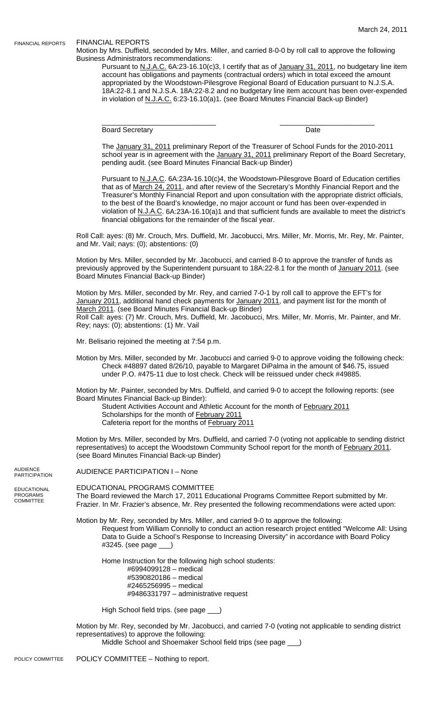## FINANCIAL REPORTS

FINANCIAL REPORTS

Motion by Mrs. Duffield, seconded by Mrs. Miller, and carried 8-0-0 by roll call to approve the following Business Administrators recommendations:

Pursuant to N.J.A.C. 6A:23-16.10(c)3, I certify that as of January 31, 2011, no budgetary line item account has obligations and payments (contractual orders) which in total exceed the amount appropriated by the Woodstown-Pilesgrove Regional Board of Education pursuant to N.J.S.A. 18A:22-8.1 and N.J.S.A. 18A:22-8.2 and no budgetary line item account has been over-expended in violation of N.J.A.C. 6:23-16.10(a)1. (see Board Minutes Financial Back-up Binder)

Board Secretary **Date** 

\_\_\_\_\_\_\_\_\_\_\_\_\_\_\_\_\_\_\_\_\_\_\_\_\_\_\_\_\_ \_\_\_\_\_\_\_\_\_\_\_\_\_\_\_\_\_\_\_\_\_\_\_\_

The January 31, 2011 preliminary Report of the Treasurer of School Funds for the 2010-2011 school year is in agreement with the January 31, 2011 preliminary Report of the Board Secretary, pending audit. (see Board Minutes Financial Back-up Binder)

Pursuant to N.J.A.C. 6A:23A-16.10(c)4, the Woodstown-Pilesgrove Board of Education certifies that as of March 24, 2011, and after review of the Secretary's Monthly Financial Report and the Treasurer's Monthly Financial Report and upon consultation with the appropriate district officials, to the best of the Board's knowledge, no major account or fund has been over-expended in violation of N.J.A.C. 6A:23A-16.10(a)1 and that sufficient funds are available to meet the district's financial obligations for the remainder of the fiscal year.

Roll Call: ayes: (8) Mr. Crouch, Mrs. Duffield, Mr. Jacobucci, Mrs. Miller, Mr. Morris, Mr. Rey, Mr. Painter, and Mr. Vail; nays: (0); abstentions: (0)

Motion by Mrs. Miller, seconded by Mr. Jacobucci, and carried 8-0 to approve the transfer of funds as previously approved by the Superintendent pursuant to 18A:22-8.1 for the month of January 2011. (see Board Minutes Financial Back-up Binder)

Motion by Mrs. Miller, seconded by Mr. Rey, and carried 7-0-1 by roll call to approve the EFT's for January 2011, additional hand check payments for January 2011, and payment list for the month of March 2011. (see Board Minutes Financial Back-up Binder) Roll Call: ayes: (7) Mr. Crouch, Mrs. Duffield, Mr. Jacobucci, Mrs. Miller, Mr. Morris, Mr. Painter, and Mr. Rey; nays: (0); abstentions: (1) Mr. Vail

Mr. Belisario rejoined the meeting at 7:54 p.m.

Motion by Mrs. Miller, seconded by Mr. Jacobucci and carried 9-0 to approve voiding the following check: Check #48897 dated 8/26/10, payable to Margaret DiPalma in the amount of \$46.75, issued under P.O. #475-11 due to lost check. Check will be reissued under check #49885.

Motion by Mr. Painter, seconded by Mrs. Duffield, and carried 9-0 to accept the following reports: (see Board Minutes Financial Back-up Binder):

Student Activities Account and Athletic Account for the month of February 2011 Scholarships for the month of February 2011 Cafeteria report for the months of February 2011

Motion by Mrs. Miller, seconded by Mrs. Duffield, and carried 7-0 (voting not applicable to sending district representatives) to accept the Woodstown Community School report for the month of February 2011. (see Board Minutes Financial Back-up Binder)

AUDIENCE **PARTICIPATION** 

EDUCATIONAL PROGRAMS COMMITTEE

AUDIENCE PARTICIPATION I – None

EDUCATIONAL PROGRAMS COMMITTEE The Board reviewed the March 17, 2011 Educational Programs Committee Report submitted by Mr. Frazier. In Mr. Frazier's absence, Mr. Rey presented the following recommendations were acted upon:

Motion by Mr. Rey, seconded by Mrs. Miller, and carried 9-0 to approve the following: Request from William Connolly to conduct an action research project entitled "Welcome All: Using

Data to Guide a School's Response to Increasing Diversity" in accordance with Board Policy #3245. (see page \_\_\_)

Home Instruction for the following high school students:

#6994099128 – medical #5390820186 – medical #2465256995 – medical #9486331797 – administrative request

High School field trips. (see page \_\_\_)

Motion by Mr. Rey, seconded by Mr. Jacobucci, and carried 7-0 (voting not applicable to sending district representatives) to approve the following:

Middle School and Shoemaker School field trips (see page \_\_\_)

POLICY COMMITTEE – Nothing to report. POLICY COMMITTEE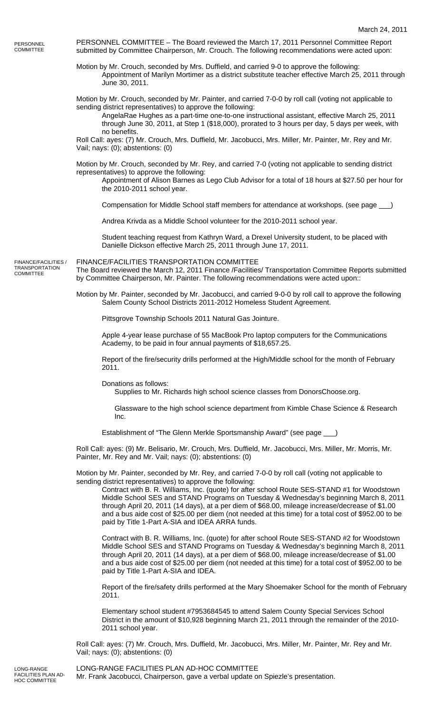PERSONNEL COMMITTEE

COMMITTEE

PERSONNEL COMMITTEE – The Board reviewed the March 17, 2011 Personnel Committee Report submitted by Committee Chairperson, Mr. Crouch. The following recommendations were acted upon:

Motion by Mr. Crouch, seconded by Mrs. Duffield, and carried 9-0 to approve the following: Appointment of Marilyn Mortimer as a district substitute teacher effective March 25, 2011 through June 30, 2011.

Motion by Mr. Crouch, seconded by Mr. Painter, and carried 7-0-0 by roll call (voting not applicable to sending district representatives) to approve the following:

AngelaRae Hughes as a part-time one-to-one instructional assistant, effective March 25, 2011 through June 30, 2011, at Step 1 (\$18,000), prorated to 3 hours per day, 5 days per week, with no benefits.

Roll Call: ayes: (7) Mr. Crouch, Mrs. Duffield, Mr. Jacobucci, Mrs. Miller, Mr. Painter, Mr. Rey and Mr. Vail; nays: (0); abstentions: (0)

Motion by Mr. Crouch, seconded by Mr. Rey, and carried 7-0 (voting not applicable to sending district representatives) to approve the following:

Appointment of Alison Barnes as Lego Club Advisor for a total of 18 hours at \$27.50 per hour for the 2010-2011 school year.

Compensation for Middle School staff members for attendance at workshops. (see page \_\_\_)

Andrea Krivda as a Middle School volunteer for the 2010-2011 school year.

Student teaching request from Kathryn Ward, a Drexel University student, to be placed with Danielle Dickson effective March 25, 2011 through June 17, 2011.

FINANCE/FACILITIES TRANSPORTATION COMMITTEE FINANCE/FACILITIES / TRANSPORTATION

The Board reviewed the March 12, 2011 Finance /Facilities/ Transportation Committee Reports submitted by Committee Chairperson, Mr. Painter. The following recommendations were acted upon::

Motion by Mr. Painter, seconded by Mr. Jacobucci, and carried 9-0-0 by roll call to approve the following Salem County School Districts 2011-2012 Homeless Student Agreement.

Pittsgrove Township Schools 2011 Natural Gas Jointure.

Apple 4-year lease purchase of 55 MacBook Pro laptop computers for the Communications Academy, to be paid in four annual payments of \$18,657.25.

Report of the fire/security drills performed at the High/Middle school for the month of February 2011.

Donations as follows:

Supplies to Mr. Richards high school science classes from DonorsChoose.org.

 Glassware to the high school science department from Kimble Chase Science & Research Inc.

Establishment of "The Glenn Merkle Sportsmanship Award" (see page \_\_\_)

Roll Call: ayes: (9) Mr. Belisario, Mr. Crouch, Mrs. Duffield, Mr. Jacobucci, Mrs. Miller, Mr. Morris, Mr. Painter, Mr. Rey and Mr. Vail; nays: (0); abstentions: (0)

Motion by Mr. Painter, seconded by Mr. Rey, and carried 7-0-0 by roll call (voting not applicable to sending district representatives) to approve the following:

Contract with B. R. Williams, Inc. (quote) for after school Route SES-STAND #1 for Woodstown Middle School SES and STAND Programs on Tuesday & Wednesday's beginning March 8, 2011 through April 20, 2011 (14 days), at a per diem of \$68.00, mileage increase/decrease of \$1.00 and a bus aide cost of \$25.00 per diem (not needed at this time) for a total cost of \$952.00 to be paid by Title 1-Part A-SIA and IDEA ARRA funds.

Contract with B. R. Williams, Inc. (quote) for after school Route SES-STAND #2 for Woodstown Middle School SES and STAND Programs on Tuesday & Wednesday's beginning March 8, 2011 through April 20, 2011 (14 days), at a per diem of \$68.00, mileage increase/decrease of \$1.00 and a bus aide cost of \$25.00 per diem (not needed at this time) for a total cost of \$952.00 to be paid by Title 1-Part A-SIA and IDEA.

Report of the fire/safety drills performed at the Mary Shoemaker School for the month of February 2011.

Elementary school student #7953684545 to attend Salem County Special Services School District in the amount of \$10,928 beginning March 21, 2011 through the remainder of the 2010- 2011 school year.

Roll Call: ayes: (7) Mr. Crouch, Mrs. Duffield, Mr. Jacobucci, Mrs. Miller, Mr. Painter, Mr. Rey and Mr. Vail; nays: (0); abstentions: (0)

LONG-RANGE FACILITIES PLAN AD-HOC COMMITTEE

LONG-RANGE FACILITIES PLAN AD-HOC COMMITTEE Mr. Frank Jacobucci, Chairperson, gave a verbal update on Spiezle's presentation.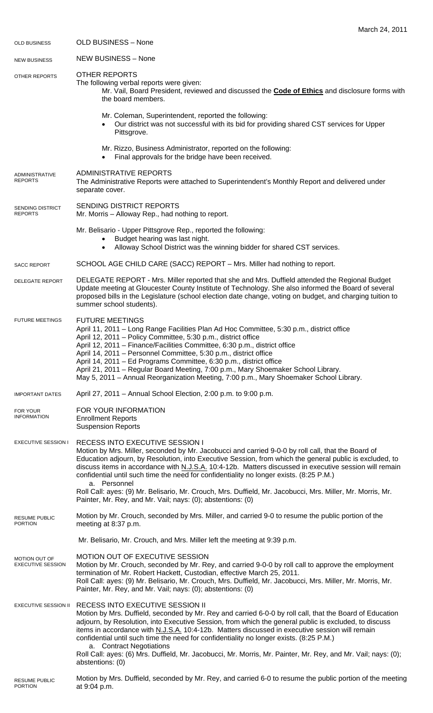| <b>OLD BUSINESS</b>                       | <b>OLD BUSINESS - None</b>                                                                                                                                                                                                                                                                                                                                                                                                                                                                                                                                                                                          |
|-------------------------------------------|---------------------------------------------------------------------------------------------------------------------------------------------------------------------------------------------------------------------------------------------------------------------------------------------------------------------------------------------------------------------------------------------------------------------------------------------------------------------------------------------------------------------------------------------------------------------------------------------------------------------|
| <b>NEW BUSINESS</b>                       | <b>NEW BUSINESS - None</b>                                                                                                                                                                                                                                                                                                                                                                                                                                                                                                                                                                                          |
| <b>OTHER REPORTS</b>                      | <b>OTHER REPORTS</b><br>The following verbal reports were given:<br>Mr. Vail, Board President, reviewed and discussed the <b>Code of Ethics</b> and disclosure forms with<br>the board members.                                                                                                                                                                                                                                                                                                                                                                                                                     |
|                                           | Mr. Coleman, Superintendent, reported the following:<br>Our district was not successful with its bid for providing shared CST services for Upper<br>Pittsgrove.                                                                                                                                                                                                                                                                                                                                                                                                                                                     |
|                                           | Mr. Rizzo, Business Administrator, reported on the following:<br>Final approvals for the bridge have been received.                                                                                                                                                                                                                                                                                                                                                                                                                                                                                                 |
| ADMINISTRATIVE<br><b>REPORTS</b>          | <b>ADMINISTRATIVE REPORTS</b><br>The Administrative Reports were attached to Superintendent's Monthly Report and delivered under<br>separate cover.                                                                                                                                                                                                                                                                                                                                                                                                                                                                 |
| SENDING DISTRICT<br><b>REPORTS</b>        | SENDING DISTRICT REPORTS<br>Mr. Morris - Alloway Rep., had nothing to report.                                                                                                                                                                                                                                                                                                                                                                                                                                                                                                                                       |
|                                           | Mr. Belisario - Upper Pittsgrove Rep., reported the following:<br>Budget hearing was last night.<br>$\bullet$<br>Alloway School District was the winning bidder for shared CST services.<br>$\bullet$                                                                                                                                                                                                                                                                                                                                                                                                               |
| <b>SACC REPORT</b>                        | SCHOOL AGE CHILD CARE (SACC) REPORT - Mrs. Miller had nothing to report.                                                                                                                                                                                                                                                                                                                                                                                                                                                                                                                                            |
| <b>DELEGATE REPORT</b>                    | DELEGATE REPORT - Mrs. Miller reported that she and Mrs. Duffield attended the Regional Budget<br>Update meeting at Gloucester County Institute of Technology. She also informed the Board of several<br>proposed bills in the Legislature (school election date change, voting on budget, and charging tuition to<br>summer school students).                                                                                                                                                                                                                                                                      |
| <b>FUTURE MEETINGS</b>                    | <b>FUTURE MEETINGS</b><br>April 11, 2011 - Long Range Facilities Plan Ad Hoc Committee, 5:30 p.m., district office<br>April 12, 2011 - Policy Committee, 5:30 p.m., district office<br>April 12, 2011 - Finance/Facilities Committee, 6:30 p.m., district office<br>April 14, 2011 - Personnel Committee, 5:30 p.m., district office<br>April 14, 2011 - Ed Programs Committee, 6:30 p.m., district office<br>April 21, 2011 – Regular Board Meeting, 7:00 p.m., Mary Shoemaker School Library.<br>May 5, 2011 - Annual Reorganization Meeting, 7:00 p.m., Mary Shoemaker School Library.                           |
| <b>IMPORTANT DATES</b>                    | April 27, 2011 - Annual School Election, 2:00 p.m. to 9:00 p.m.                                                                                                                                                                                                                                                                                                                                                                                                                                                                                                                                                     |
| FOR YOUR<br><b>INFORMATION</b>            | FOR YOUR INFORMATION<br><b>Enrollment Reports</b><br><b>Suspension Reports</b>                                                                                                                                                                                                                                                                                                                                                                                                                                                                                                                                      |
| <b>EXECUTIVE SESSION I</b>                | RECESS INTO EXECUTIVE SESSION I<br>Motion by Mrs. Miller, seconded by Mr. Jacobucci and carried 9-0-0 by roll call, that the Board of<br>Education adjourn, by Resolution, into Executive Session, from which the general public is excluded, to<br>discuss items in accordance with N.J.S.A. 10:4-12b. Matters discussed in executive session will remain<br>confidential until such time the need for confidentiality no longer exists. (8:25 P.M.)<br>a. Personnel<br>Roll Call: ayes: (9) Mr. Belisario, Mr. Crouch, Mrs. Duffield, Mr. Jacobucci, Mrs. Miller, Mr. Morris, Mr.                                 |
|                                           | Painter, Mr. Rey, and Mr. Vail; nays: (0); abstentions: (0)                                                                                                                                                                                                                                                                                                                                                                                                                                                                                                                                                         |
| <b>RESUME PUBLIC</b><br><b>PORTION</b>    | Motion by Mr. Crouch, seconded by Mrs. Miller, and carried 9-0 to resume the public portion of the<br>meeting at 8:37 p.m.                                                                                                                                                                                                                                                                                                                                                                                                                                                                                          |
|                                           | Mr. Belisario, Mr. Crouch, and Mrs. Miller left the meeting at 9:39 p.m.                                                                                                                                                                                                                                                                                                                                                                                                                                                                                                                                            |
| MOTION OUT OF<br><b>EXECUTIVE SESSION</b> | MOTION OUT OF EXECUTIVE SESSION<br>Motion by Mr. Crouch, seconded by Mr. Rey, and carried 9-0-0 by roll call to approve the employment<br>termination of Mr. Robert Hackett, Custodian, effective March 25, 2011.<br>Roll Call: ayes: (9) Mr. Belisario, Mr. Crouch, Mrs. Duffield, Mr. Jacobucci, Mrs. Miller, Mr. Morris, Mr.<br>Painter, Mr. Rey, and Mr. Vail; nays: (0); abstentions: (0)                                                                                                                                                                                                                      |
| <b>EXECUTIVE SESSION II</b>               | RECESS INTO EXECUTIVE SESSION II<br>Motion by Mrs. Duffield, seconded by Mr. Rey and carried 6-0-0 by roll call, that the Board of Education<br>adjourn, by Resolution, into Executive Session, from which the general public is excluded, to discuss<br>items in accordance with N.J.S.A. 10:4-12b. Matters discussed in executive session will remain<br>confidential until such time the need for confidentiality no longer exists. (8:25 P.M.)<br>a. Contract Negotiations<br>Roll Call: ayes: (6) Mrs. Duffield, Mr. Jacobucci, Mr. Morris, Mr. Painter, Mr. Rey, and Mr. Vail; nays: (0);<br>abstentions: (0) |
| <b>RESUME PUBLIC</b><br><b>PORTION</b>    | Motion by Mrs. Duffield, seconded by Mr. Rey, and carried 6-0 to resume the public portion of the meeting<br>at 9:04 p.m.                                                                                                                                                                                                                                                                                                                                                                                                                                                                                           |

March 24, 2011